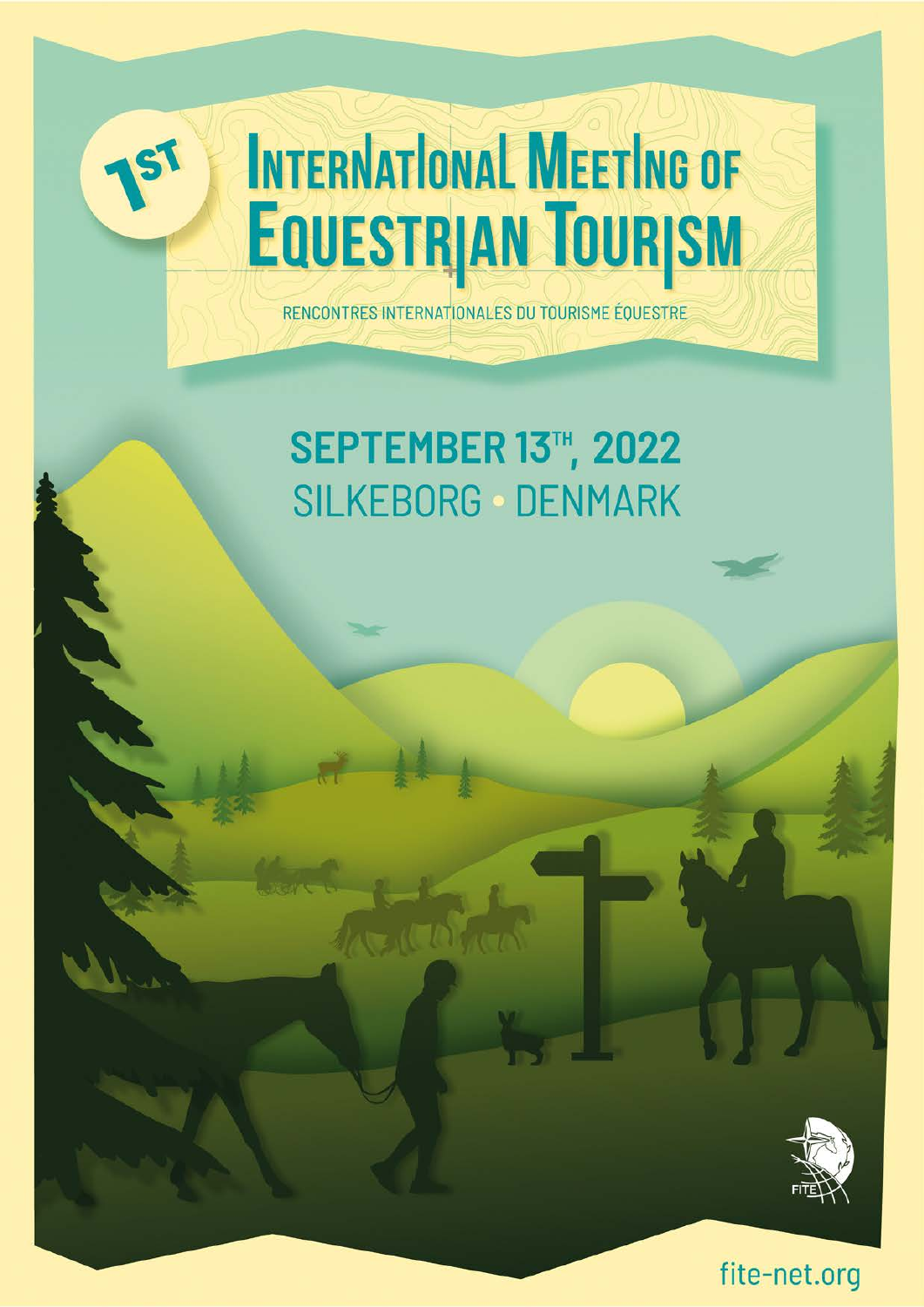

# **INTERNATIONAL MEETING OF EQUESTRIAN TOURISM**

RENCONTRES INTERNATIONALES DU TOURISME ÉQUESTRE

## **SEPTEMBER 13TH, 2022 SILKEBORG - DENMARK**



fite-net.org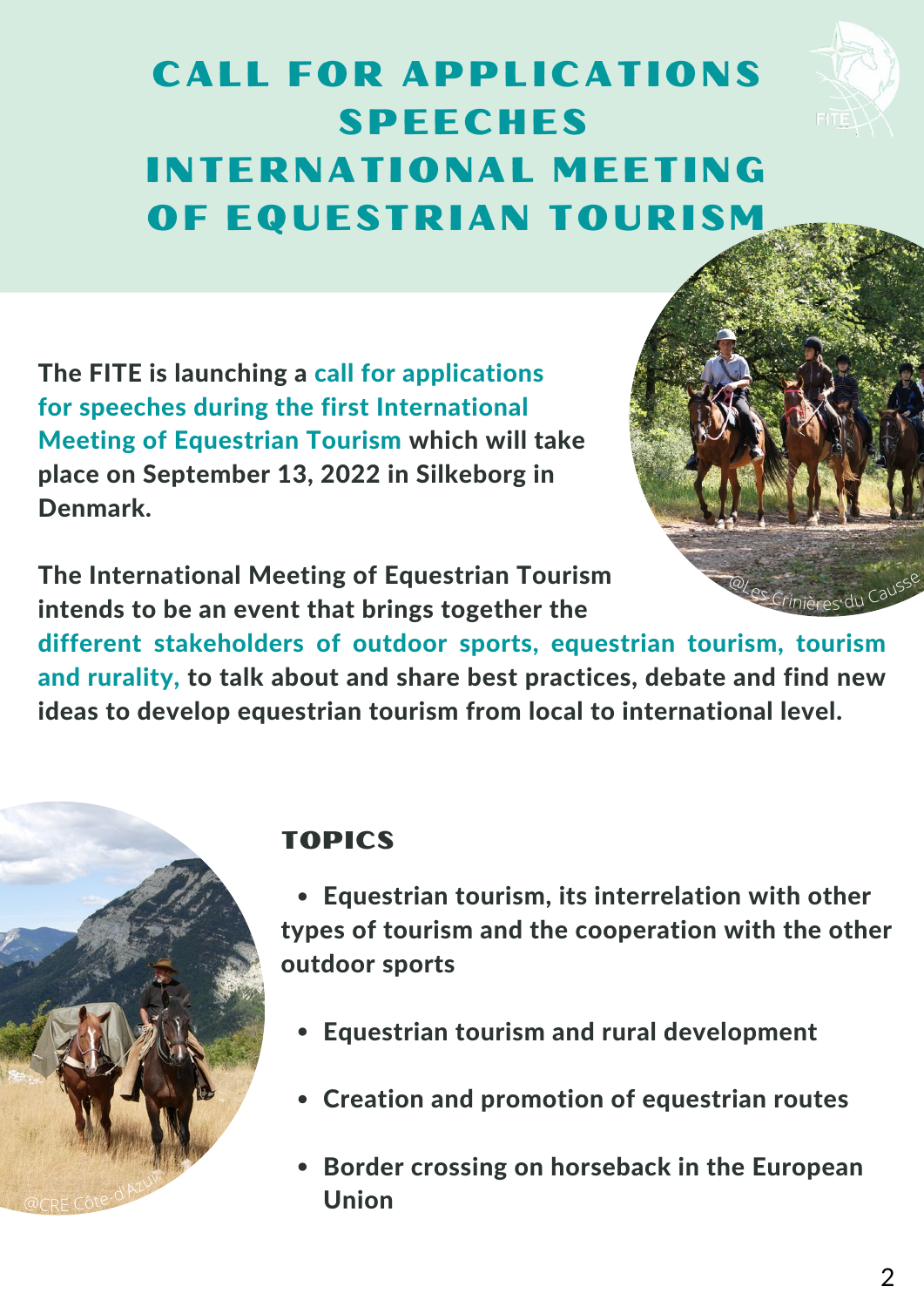

<sup>@</sup>Les Crinières du Causse

### CALL FOR APPLICATIONS SPEECHES INTERNATIONAL MEETING OF EQUESTRIAN TOURISM

The FITE is launching a call for applications for speeches during the first International Meeting of Equestrian Tourism which will take place on September 13, 2022 in Silkeborg in Denmark.

The International Meeting of Equestrian Tourism intends to be an event that brings together the

different stakeholders of outdoor sports, equestrian tourism, tourism and rurality, to talk about and share best practices, debate and find new ideas to develop equestrian tourism from local to international level.



#### TOPICS

Equestrian tourism, its interrelation with other types of tourism and the cooperation with the other outdoor sports

- Equestrian tourism and rural development
- Creation and promotion of equestrian routes
- Border crossing on horseback in the European Union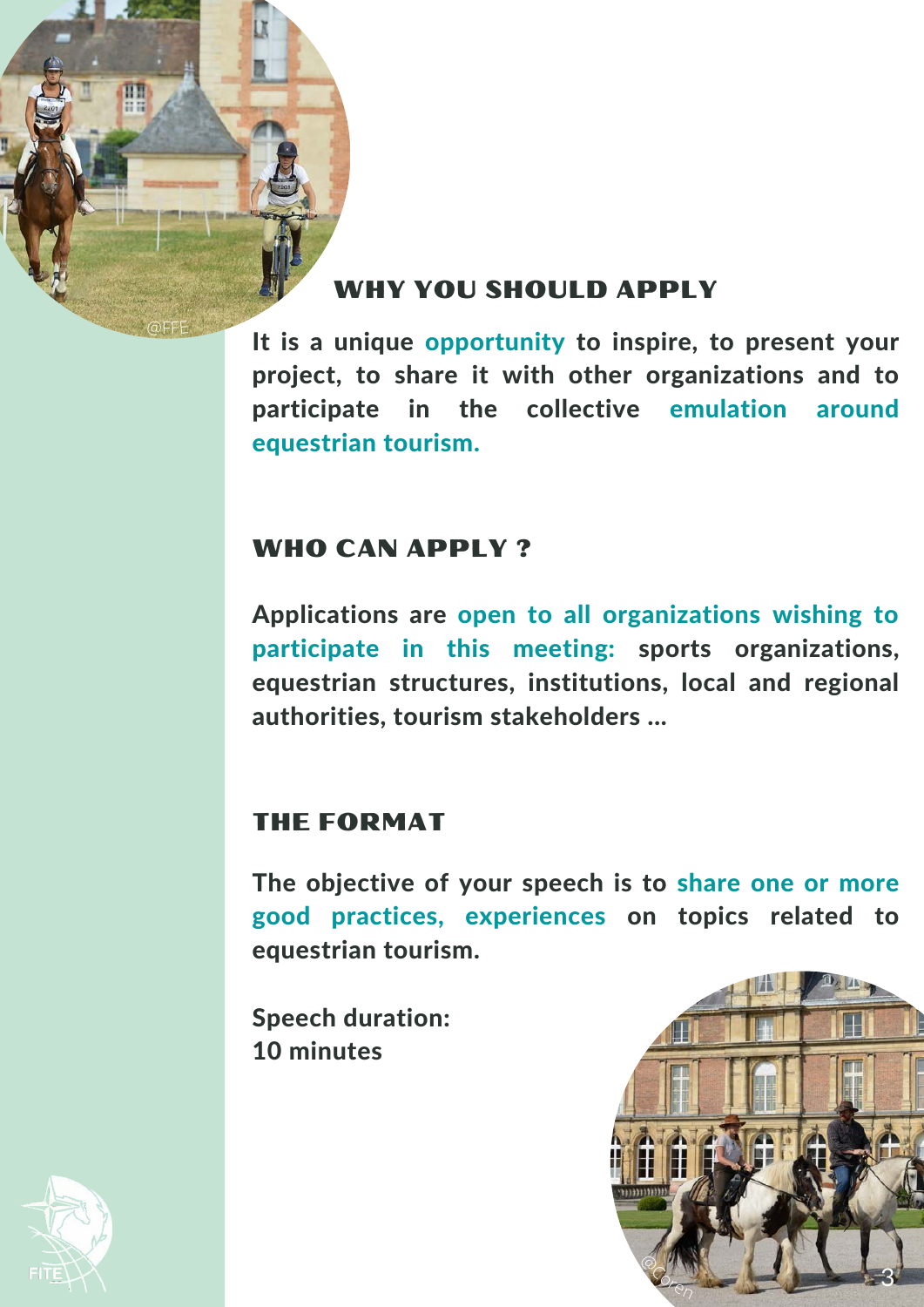

@FFE

#### WHY YOU SHOULD APPLY

It is a unique opportunity to inspire, to present your project, to share it with other organizations and to participate in the collective emulation around equestrian tourism.

#### WHO CAN APPLY?

Applications are open to all organizations wishing to participate in this meeting: sports organizations, equestrian structures, institutions, local and regional authorities, tourism stakeholders ...

#### THE FORMAT

The objective of your speech is to share one or more good practices, experiences on topics related to equestrian tourism.

Speech duration: 10 minutes